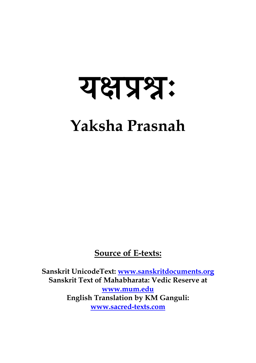# यक्षप्रश्नः **Yaksha Prasnah**

**Source of E-texts:**

**Sanskrit UnicodeText: [www.sanskritdocuments.org](http://www.sanskritdocuments.org/) Sanskrit Text of Mahabharata: Vedic Reserve at [www.mum.edu](http://www.mum.edu/) English Translation by KM Ganguli: [www.sacred-texts.com](http://www.sacred-texts.com/)**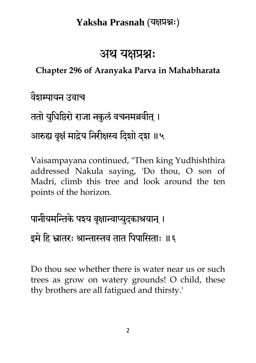### अथ यक्षप्रश्नः

#### **Chapter 296 of Aranyaka Parva in Mahabharata**

वैशम्पामन उवाच

ततो युधिष्ठिरो राजा नकुलं वचनमब्रवीत् । आरुह्य वृक्षं माद्रेय निरीक्षस्व दिशो दश ॥५

Vaisampayana continued, "Then king Yudhishthira addressed Nakula saying, 'Do thou, O son of Madri, climb this tree and look around the ten points of the horizon.

पानीयमन्तिके पश्य वृक्षान्वाप्युद्काश्रयान् । इमे हि भ्रातरः श्रान्तास्तव तात पिपासिताः ॥६

Do thou see whether there is water near us or such trees as grow on watery grounds! O child, these thy brothers are all fatigued and thirsty.'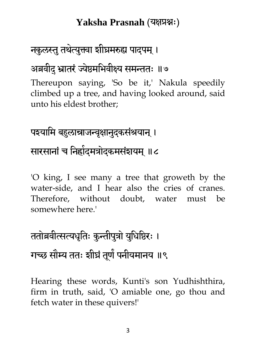### नकुलस्तु तथेत्युक्त्वा शीघ्रमरुह्य पादपम् ।

#### अब्रवीदु भ्रातरं ज्येष्ठमभिवीक्ष्य समन्ततः ॥७

Thereupon saying, 'So be it,' Nakula speedily climbed up a tree, and having looked around, said unto his eldest brother;

# पश्यामि बहुलान्राजन्वृक्षानुदुकसंश्रयान् ।

### सारसानां च निह्यंदमत्रोदकमसंशयम् ॥८

'O king, I see many a tree that groweth by the water-side, and I hear also the cries of cranes. Therefore, without doubt, water must be somewhere here.'

# ततोब्रवीत्सत्यधृतिः कुन्तीपुत्रो युधिष्ठिरः । गच्छ सौम्य ततः शीघ्रं तूर्ण पनीयमानय ॥९

Hearing these words, Kunti's son Yudhishthira, firm in truth, said, 'O amiable one, go thou and fetch water in these quivers!'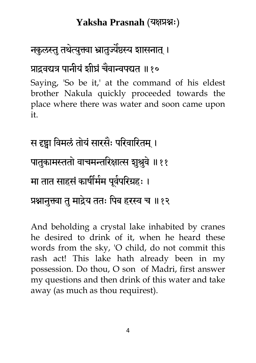### नकुलस्तु तथेत्युक्त्वा भ्रातुज्यैष्ठस्य शासनात् ।

### प्राद्रवद्यत्र पानीयं शीघ्रं चैवान्वपद्यत ॥१०

Saying, 'So be it,' at the command of his eldest brother Nakula quickly proceeded towards the place where there was water and soon came upon it.

स दृष्ट्वा विमलं तोयं सारसैः परिवारितम् । पातुकामस्ततो वाचमन्तरिक्षात्स शुश्रुवे ॥११ मा तात साहसं कार्षीमेम पूर्वपरिग्रहः । प्रश्नानुक्त्वा तु माद्रेय ततः पिब हरस्व च ॥१२

And beholding a crystal lake inhabited by cranes he desired to drink of it, when he heard these words from the sky, 'O child, do not commit this rash act! This lake hath already been in my possession. Do thou, O son of Madri, first answer my questions and then drink of this water and take away (as much as thou requirest).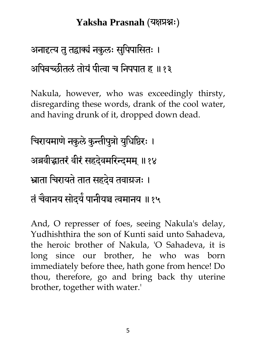### अनादृत्य तु तद्वाक्यं नकुलः सुपिपासितः । अपिबच्छीतलं तोयं पीत्वा च निपपात ह ॥१३

Nakula, however, who was exceedingly thirsty, disregarding these words, drank of the cool water, and having drunk of it, dropped down dead.

चिरायमाणे नकुले कुन्तीपुत्रो युधिष्ठिरः । अब्रवीद्धातरं वीरं सहदेवमरिन्दमम् ॥१४ भ्राता चिरायते तात सहदेव तवाग्रजः । तं चैवानय सोदये पानीयञ्च त्वमानय ॥१५

And, O represser of foes, seeing Nakula's delay, Yudhishthira the son of Kunti said unto Sahadeva, the heroic brother of Nakula, 'O Sahadeva, it is long since our brother, he who was born immediately before thee, hath gone from hence! Do thou, therefore, go and bring back thy uterine brother, together with water.'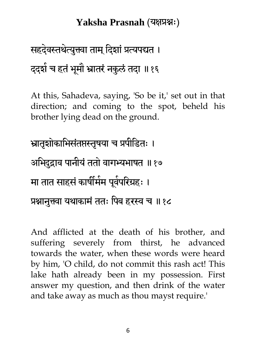# सहदेवस्तथेत्युक्त्वा ताम् दिशां प्रत्यपद्यत । ददशे च हतें भूमौ भ्रातरें नकुलं तदा ॥१६

At this, Sahadeva, saying, 'So be it,' set out in that direction; and coming to the spot, beheld his brother lying dead on the ground.

भ्रातृशोकाभिसंतप्तस्तृषया च प्रपीडितः । अभिदुद्राव पानीयं ततो वागभ्यभाषत ॥१७ मा तात साहसें कार्षीमेम पूर्वपरिग्रहः । प्रश्नानुक्त्वा यथाकामं ततः पिब हरस्व च ॥१८

And afflicted at the death of his brother, and suffering severely from thirst, he advanced towards the water, when these words were heard by him, 'O child, do not commit this rash act! This lake hath already been in my possession. First answer my question, and then drink of the water and take away as much as thou mayst require.'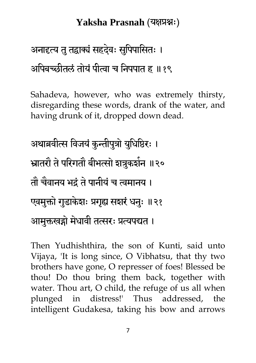# अनादृत्य तु तद्वाक्यं सहदेवः सुपिपासितः । अपिबच्छीतलं तोयं पीत्वा च निपपात ह ॥१९

Sahadeva, however, who was extremely thirsty, disregarding these words, drank of the water, and having drunk of it, dropped down dead.

```
अथाब्रवीत्स विजयं कुन्तीपुत्रो युधिष्ठिरः ।
भ्रातरौ ते परिगतौ बीभत्सो शत्रुकशंन ॥२०
तौ चैवानय भद्रं ते पानीयं च त्वमानय ।
एवमुक्तो गुडाकेशः प्रगृह्य सशरं धनुः ॥२१
आमुक्तखड्गो मेधावी तत्सरः प्रत्यपद्यत ।
```
Then Yudhishthira, the son of Kunti, said unto Vijaya, 'It is long since, O Vibhatsu, that thy two brothers have gone, O represser of foes! Blessed be thou! Do thou bring them back, together with water. Thou art, O child, the refuge of us all when plunged in distress!' Thus addressed, the intelligent Gudakesa, taking his bow and arrows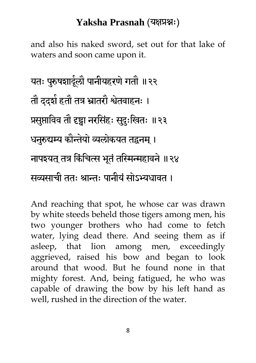and also his naked sword, set out for that lake of waters and soon came upon it.

मत् ऩरुुषशार्दर ा ौ ऩानीमहयणेगतौ ॥२२ तौ ददश ाहतौ तत्र भ्रातयौ श्वतेवाहन् । प्रसप्तुाधवव तौ दृष्ट्वा नयधसहॊ ् सदुु ्धखत् ॥२३ धनरुुद्यम्य कौिमेो व्यरोकमत तद्वनभ ।् नाऩश्मत तत्र् धकॊधचत्स बतूॊतधिन्महावने॥२४ सव्यसाची तत् श्राि् ऩानीमॊसोऽभ्यधावत ।

And reaching that spot, he whose car was drawn by white steeds beheld those tigers among men, his two younger brothers who had come to fetch water, lying dead there. And seeing them as if asleep, that lion among men, exceedingly aggrieved, raised his bow and began to look around that wood. But he found none in that mighty forest. And, being fatigued, he who was capable of drawing the bow by his left hand as well, rushed in the direction of the water.

8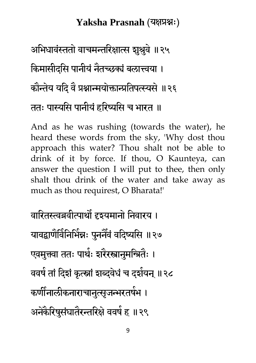अभिधावंस्ततो वाचमन्तरिक्षात्स शुश्रुवे ॥२५ किमासीदसि पानीयं नैतच्छक्यं बलात्त्वया । कौन्तेय यदि वै प्रश्नान्मयोक्तान्प्रतिपत्स्यसे ॥२६ ततः पास्यसि पानीयं हरिष्यसि च भारत ॥

And as he was rushing (towards the water), he heard these words from the sky, 'Why dost thou approach this water? Thou shalt not be able to drink of it by force. If thou, O Kaunteya, can answer the question I will put to thee, then only shalt thou drink of the water and take away as much as thou requirest, O Bharata!'

वारितस्त्वब्रवीत्पार्थो दृश्यमानो निवारय । यावद्वाणेविनिर्भिन्नः पुननैवं वदिष्यसि ॥२७ एवमुक्त्वा ततः पाथेः शरेरस्त्रानुमन्त्रितैः । ववर्षे तां दिशं कृत्स्नां शब्दवेधं च दशेयन् ॥२८ कर्णीनालीकनाराचानुत्सृजन्भरतषेभ । अनेकेरिषुसंघातेरन्तरिक्षे ववषे ह ॥२९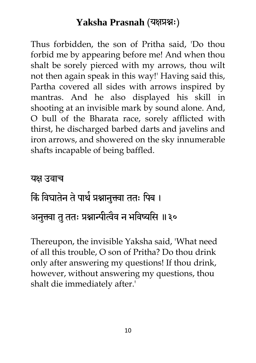Thus forbidden, the son of Pritha said, 'Do thou forbid me by appearing before me! And when thou shalt be sorely pierced with my arrows, thou wilt not then again speak in this way!' Having said this, Partha covered all sides with arrows inspired by mantras. And he also displayed his skill in shooting at an invisible mark by sound alone. And, O bull of the Bharata race, sorely afflicted with thirst, he discharged barbed darts and javelins and iron arrows, and showered on the sky innumerable shafts incapable of being baffled.

#### यक्ष उवाच

# किं विघातेन ते पार्थ प्रश्नानुक्त्वा ततः पिब । अनुक्त्वा तु ततः प्रश्नान्पीत्वैव न भविष्यसि ॥३०

Thereupon, the invisible Yaksha said, 'What need of all this trouble, O son of Pritha? Do thou drink only after answering my questions! If thou drink, however, without answering my questions, thou shalt die immediately after.'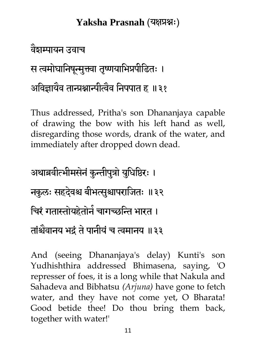### वैशम्पामन उवाच

स त्वमोघानिषून्मुक्त्वा तृष्णयाभिप्रपीडितः ।

आविज्ञायैव तान्प्रश्नान्पत्विव निपपात ह ॥३१

Thus addressed, Pritha's son Dhananjaya capable of drawing the bow with his left hand as well, disregarding those words, drank of the water, and immediately after dropped down dead.

अथाब्रवीत्भीमसेनं कुन्तीपुत्रो युधिष्ठिरः । नकुलः सहदेवश्च बीभत्सुश्चापराजितः ॥३२ चिरं गतास्तोयहेतोने चागच्छन्ति भारत । तांश्चैवानय भद्रं ते पानीयं च त्वमानय ॥३३

And (seeing Dhananjaya's delay) Kunti's son Yudhishthira addressed Bhimasena, saying, 'O represser of foes, it is a long while that Nakula and Sahadeva and Bibhatsu *(Arjuna)* have gone to fetch water, and they have not come yet, O Bharata! Good betide thee! Do thou bring them back, together with water!'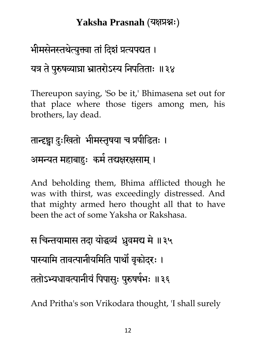# भीमसेनस्तथेत्युक्त्वा तां दिशं प्रत्यपद्यत । यत्र ते पुरुषव्याघ्रा भ्रातरोऽस्य निपतिताः ॥३४

Thereupon saying, 'So be it,' Bhimasena set out for that place where those tigers among men, his brothers, lay dead.

# तान्दृष्ट्वा दुःखितो भीमस्तृषया च प्रपीडितः । अमन्यत महाबाहुः कमे तद्यक्षरक्षसाम् ।

And beholding them, Bhima afflicted though he was with thirst, was exceedingly distressed. And that mighty armed hero thought all that to have been the act of some Yaksha or Rakshasa.

स चिन्तयामास तदा योद्धव्यं ध्रुवमद्य मे ॥३५ पास्यामि तावत्पानीयमिति पार्थो वृकोदरः । ततोऽभ्यधावत्पानीयं पिपासुः पुरुषषेभः ॥३६

And Pritha's son Vrikodara thought, 'I shall surely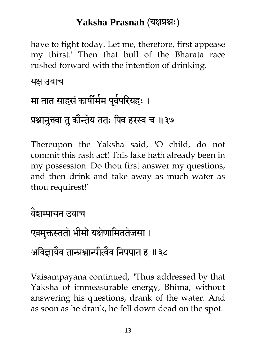have to fight today. Let me, therefore, first appease my thirst.' Then that bull of the Bharata race rushed forward with the intention of drinking.

यक्ष उवाच

# मा तात साहसं कार्षीमेम पूर्वपरिग्रहः । प्रश्नानुक्त्वा तु कौन्तेय ततः पिब हरस्व च ॥३७

Thereupon the Yaksha said, 'O child, do not commit this rash act! This lake hath already been in my possession. Do thou first answer my questions, and then drink and take away as much water as thou requirest!'

### वैशम्पामन उवाच

### एवमुक्तस्ततो भीमो यक्षेणामिततेजसा ।

### आंवेज्ञायेव तान्प्रश्नान्पत्विव निपपात ह ॥३८

Vaisampayana continued, "Thus addressed by that Yaksha of immeasurable energy, Bhima, without answering his questions, drank of the water. And as soon as he drank, he fell down dead on the spot.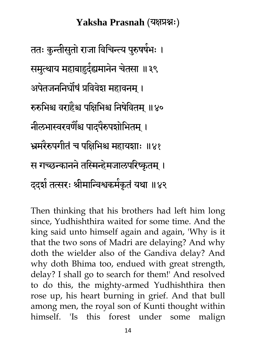ततः कुन्तीसुतो राजा विचिन्त्य पुरुषषेभः । समुत्थाय महाबाहुदे्द्यमानेन चेतसा ॥३९ अपेतजननिर्घोषं प्रविवेश महावनम् । रुरुभिश्च वराहैश्च पक्षिभिश्च निषेवितम् ॥४० नीलभास्वरवणैश्च पादपेरुपशोभितम् । भ्रमरेरुपगीतं च पक्षिभिश्च महायशाः ॥४१ स गच्छन्कानने तस्मिन्हेमजालपरिष्कृतम् । दद्शे तत्सरः श्रीमान्विश्वकमेकृतं यथा ॥४२

Then thinking that his brothers had left him long since, Yudhishthira waited for some time. And the king said unto himself again and again, 'Why is it that the two sons of Madri are delaying? And why doth the wielder also of the Gandiva delay? And why doth Bhima too, endued with great strength, delay? I shall go to search for them!' And resolved to do this, the mighty-armed Yudhishthira then rose up, his heart burning in grief. And that bull among men, the royal son of Kunti thought within himself. 'Is this forest under some malign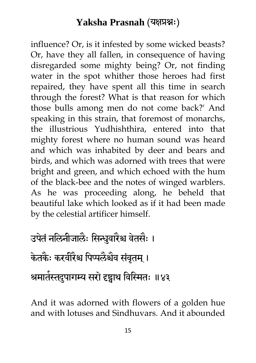influence? Or, is it infested by some wicked beasts? Or, have they all fallen, in consequence of having disregarded some mighty being? Or, not finding water in the spot whither those heroes had first repaired, they have spent all this time in search through the forest? What is that reason for which those bulls among men do not come back?' And speaking in this strain, that foremost of monarchs, the illustrious Yudhishthira, entered into that mighty forest where no human sound was heard and which was inhabited by deer and bears and birds, and which was adorned with trees that were bright and green, and which echoed with the hum of the black-bee and the notes of winged warblers. As he was proceeding along, he beheld that beautiful lake which looked as if it had been made by the celestial artificer himself.

# उपेतं नलिनीजालैः सिन्धुवारैश्च वेतसैः । केतकैः करवीरेश्च पिप्पलैश्चेव संवृतम् । श्रमातेस्तदुपागम्य सरो दृष्ट्वाथ विस्मितः ॥४३

And it was adorned with flowers of a golden hue and with lotuses and Sindhuvars. And it abounded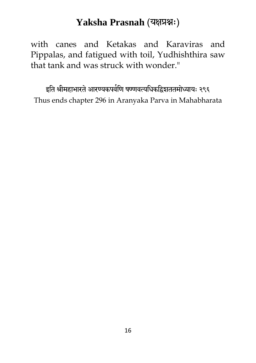with canes and Ketakas and Karaviras and Pippalas, and fatigued with toil, Yudhishthira saw that tank and was struck with wonder."

इति श्रीमहाभारते आरण्यकपर्वणि षण्णवत्यधिकद्विशततमोध्यायः २९६ Thus ends chapter 296 in Aranyaka Parva in Mahabharata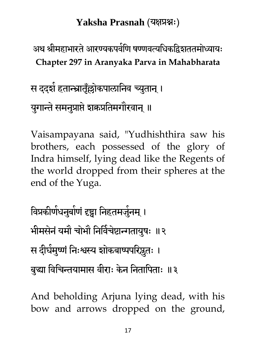अथ श्रीमहाभारते आरण्यकपर्वणि षण्णवत्यधिकद्विशततमोध्यायः **Chapter 297 in Aranyaka Parva in Mahabharata**

स ददशे हतान्म्रातृँल्लोकपालानिव च्युतान् । युगान्ते समनुप्राप्ते शक्रप्रतिमगौरवान् ॥

Vaisampayana said, "Yudhishthira saw his brothers, each possessed of the glory of Indra himself, lying dead like the Regents of the world dropped from their spheres at the end of the Yuga.

विप्रकीर्णधनुर्बाणं दृष्ट्वा निहतमजुनम् । भीमसेनं यमौ चोभौ निर्विचेष्टान्गतायुषः ॥२ स दीर्घमुष्णं निःश्वस्य शोकबाष्पपरिष्ठुतः । बुद्धा विचिन्तयामास वीराः केन नितापिताः ॥३

And beholding Arjuna lying dead, with his bow and arrows dropped on the ground,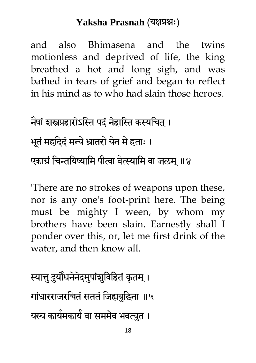and also Bhimasena and the twins motionless and deprived of life, the king breathed a hot and long sigh, and was bathed in tears of grief and began to reflect in his mind as to who had slain those heroes.

नेषां शस्त्रप्रहारोऽस्ति पदं नेहास्ति कस्यचित् । भूतं महदिदं मन्ये भ्रातरो येन मे हताः । एकाग्रं चिन्तयिष्यामि पीत्वा वेत्स्यामि वा जलम् ॥४

'There are no strokes of weapons upon these, nor is any one's foot-print here. The being must be mighty I ween, by whom my brothers have been slain. Earnestly shall I ponder over this, or, let me first drink of the water, and then know all.

स्यात्तु दुर्योधनेनेदमुपांशुविहितं कृतम् । गांधारराजरचितं सततं जिह्मबुद्धिना ॥५ यस्य कायेमकायें वा सममेव भवत्युत ।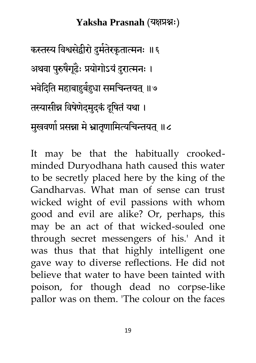कस्तस्य विश्वसंद्वीरो दुमंतेरकृतात्मनः ॥६ अथवा पुरुषैगूढैः प्रयोगोऽयं दुरात्मनः । भवेदिति महाबाहुबेहुधा समचिन्तयत् ॥७ तस्यासीन्न विषेणेदमुदकं दूषितं यथा । मुखवणो प्रसन्ना मे भ्रातृणामित्यचिन्तयत् ॥८

It may be that the habitually crookedminded Duryodhana hath caused this water to be secretly placed here by the king of the Gandharvas. What man of sense can trust wicked wight of evil passions with whom good and evil are alike? Or, perhaps, this may be an act of that wicked-souled one through secret messengers of his.' And it was thus that that highly intelligent one gave way to diverse reflections. He did not believe that water to have been tainted with poison, for though dead no corpse-like pallor was on them. 'The colour on the faces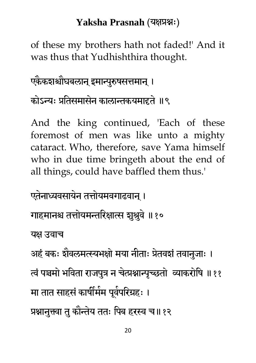of these my brothers hath not faded!' And it was thus that Yudhishthira thought.

### एकेंकशश्चौघबलान् इमान्पुरुषसत्तमान् ।

### कोऽन्यः प्रतिसमासेन कालान्तकयमाद्दते ॥९

And the king continued, 'Each of these foremost of men was like unto a mighty cataract. Who, therefore, save Yama himself who in due time bringeth about the end of all things, could have baffled them thus.'

एतेनाध्यवसायेन तत्तोयमवगाढवान् ।

गाहमानश्च तत्तोयमन्तरिक्षात्स शुश्रुवे ॥१०

यक्ष उवाच

अहं बकः शैवलमत्स्यभक्षो मया नीताः प्रेतवशं तवानुजाः ।

त्वं पञ्चमो भविता राजपुत्र न चेत्प्रश्नान्पच्छतो व्याकरोषि ॥११ मा तात साहसं कार्षीमेम पूर्वपरिग्रहः ।

प्रश्नानुक्त्वा तु कौन्तेय ततः पिब हरस्व च॥१२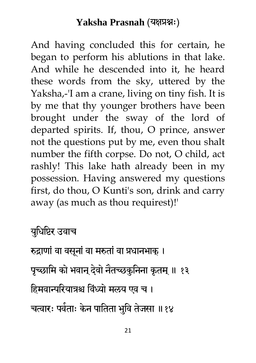And having concluded this for certain, he began to perform his ablutions in that lake. And while he descended into it, he heard these words from the sky, uttered by the Yaksha,-'I am a crane, living on tiny fish. It is by me that thy younger brothers have been brought under the sway of the lord of departed spirits. If, thou, O prince, answer not the questions put by me, even thou shalt number the fifth corpse. Do not, O child, act rashly! This lake hath already been in my possession. Having answered my questions first, do thou, O Kunti's son, drink and carry away (as much as thou requirest)!'

मधुधधष्टय उवाच

रुद्राणां वा वसूनां वा मरुतां वा प्रधानभाक् ।

पृच्छामि को भवान् देवो नैतच्छकुनिना कृतम् ॥ १३

हिमवान्परियात्रश्च विंध्यो मलय एव च ।

चत्वारः पर्वताः केन पातिता भुवि तेजसा ॥१४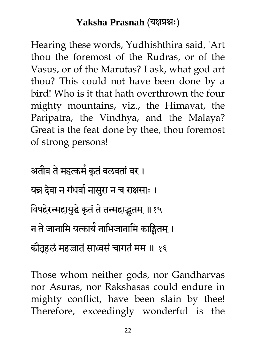Hearing these words, Yudhishthira said, 'Art thou the foremost of the Rudras, or of the Vasus, or of the Marutas? I ask, what god art thou? This could not have been done by a bird! Who is it that hath overthrown the four mighty mountains, viz., the Himavat, the Paripatra, the Vindhya, and the Malaya? Great is the feat done by thee, thou foremost of strong persons!

अतीव ते महत्कमे कृतं बलवतां वर । यन्न देवा न गंधवो नासुरा न च राक्षसाः । विषहेरन्महायुद्धे कृतं ते तन्महाद्भुतम् ॥१५ न ते जानामि यत्कायें नाभिजानामि काङ्क्षितम् । कौतूहलं महज्जातं साध्वसं चागतं मम ॥ १६

Those whom neither gods, nor Gandharvas nor Asuras, nor Rakshasas could endure in mighty conflict, have been slain by thee! Therefore, exceedingly wonderful is the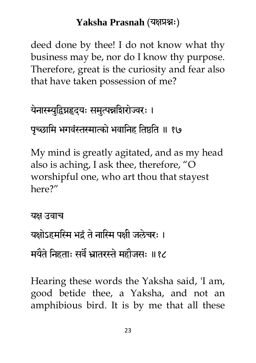deed done by thee! I do not know what thy business may be, nor do I know thy purpose. Therefore, great is the curiosity and fear also that have taken possession of me?

येनास्म्युद्विग्नहृदयः समुत्पन्नशिरोज्वरः ।

पच्छामि भगवंस्तस्मात्को भवानिह तिष्ठति ॥ १७

My mind is greatly agitated, and as my head also is aching, I ask thee, therefore, "O worshipful one, who art thou that stayest here?"

```
यक्ष उवाच
यक्षोऽहमस्मि भद्रं ते नास्मि पक्षी जलेचरः ।
मर्यंते निहताः सर्वं भ्रांतरस्ते महौजसः ॥१८
```
Hearing these words the Yaksha said, 'I am, good betide thee, a Yaksha, and not an amphibious bird. It is by me that all these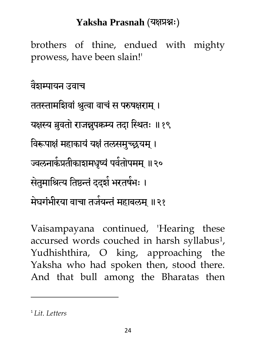brothers of thine, endued with mighty prowess, have been slain!'

वैशम्पामन उवाच

ततस्तामशिवां श्रुत्वा वाचं स परुषक्षराम् । यक्षस्य ब्रुवतो राजन्नूपकम्य तदा स्थितः ॥१९ विरूपाक्षं महाकायं यक्षं तलसमुच्छ्रयम् । ज्वलनाकेप्रतीकाशमधृष्यं पर्वतोपमम् ॥२० सेतुमाश्रित्य तिष्ठन्तं ददशे भरतषेभः । मेघगंभीरया वाचा तजेयन्तं महाबलम् ॥२१

Vaisampayana continued, 'Hearing these accursed words couched in harsh syllabus1, Yudhishthira, O king, approaching the Yaksha who had spoken then, stood there. And that bull among the Bharatas then

1 *Lit. Letters*

 $\overline{a}$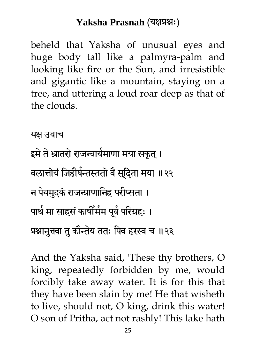beheld that Yaksha of unusual eyes and huge body tall like a palmyra-palm and looking like fire or the Sun, and irresistible and gigantic like a mountain, staying on a tree, and uttering a loud roar deep as that of the clouds.

यक्ष उवाच

इमे ते भ्रातरो राजन्वायेमाणा मया सकृत् । बलात्तोयं जिहीर्षन्तस्ततो वै सूदिता मया ॥२२ न पेयमुदकं राजन्प्राणानिह परीप्सता । पार्थ मा साहसें कार्षीमेम पूर्व परिग्रहः । प्रश्नानुक्त्वा तु कौन्तेय ततः पिब हरस्व च ॥२३

And the Yaksha said, 'These thy brothers, O king, repeatedly forbidden by me, would forcibly take away water. It is for this that they have been slain by me! He that wisheth to live, should not, O king, drink this water! O son of Pritha, act not rashly! This lake hath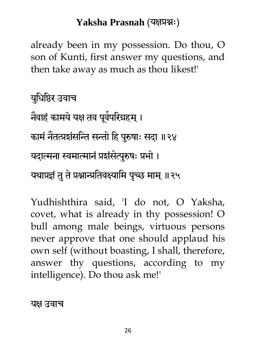already been in my possession. Do thou, O son of Kunti, first answer my questions, and then take away as much as thou likest!'

मधुधधिय उवाच नेवाहं कामये यक्ष तव पूर्वपरिग्रहम् । कामं नैतत्प्रशंसन्ति सन्तो हि पुरुषाः सदा ॥२४ यदात्मना स्वमात्मानं प्रशंसेत्पुरुषः प्रभो । यथाप्रज्ञं तु ते प्रश्नान्प्रतिवक्ष्यामि पृच्छ माम् ॥२५

Yudhishthira said, 'I do not, O Yaksha, covet, what is already in thy possession! O bull among male beings, virtuous persons never approve that one should applaud his own self (without boasting, I shall, therefore, answer thy questions, according to my intelligence). Do thou ask me!'

यक्ष उवाच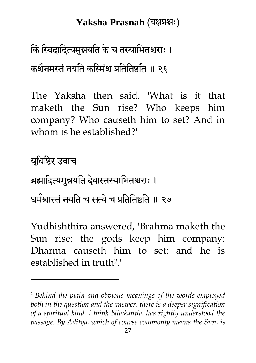# किं स्विदादित्यमुन्नयति के च तस्याभितश्चराः । कश्चैनमस्तं नयति कस्मिंश्च प्रतितिष्ठति ॥ २६

The Yaksha then said, 'What is it that maketh the Sun rise? Who keeps him company? Who causeth him to set? And in whom is he established?'

मधुधधिय उवाच ब्रह्मादित्यमुन्नयति देवास्तस्याभितश्चराः । धर्मश्चास्तं नयति च सत्यं च प्रतितिष्ठति ॥ २७

 $\overline{a}$ 

Yudhishthira answered, 'Brahma maketh the Sun rise: the gods keep him company: Dharma causeth him to set: and he is established in truth2.'

<sup>2</sup> *Behind the plain and obvious meanings of the words employed both in the question and the answer, there is a deeper signification of a spiritual kind. I think Nilakantha has rightly understood the passage. By Aditya, which of course commonly means the Sun, is*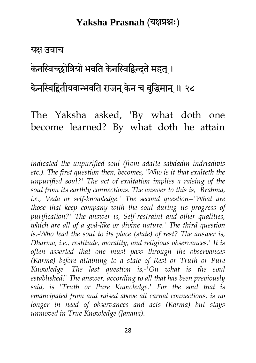#### यक्ष उवाच

1

केनस्विच्छोत्रियो भवति केनस्विद्विन्दते महत ।

केनस्विद्वितीयवान्भवति राजन् केन च बुद्धिमान् ॥ २८

The Yaksha asked, 'By what doth one become learned? By what doth he attain

*indicated the unpurified soul (from adatte sabdadin indriadivis etc.). The first question then, becomes, 'Who is it that exalteth the unpurified soul?' The act of exaltation implies a raising of the soul from its earthly connections. The answer to this is, 'Brahma,*  i.e., Veda or self-knowledge.' The second question--'What are *those that keep company with the soul during its progress of purification?' The answer is, Self-restraint and other qualities, which are all of a god-like or divine nature.' The third question is.-Who lead the soul to its place (state) of rest? The answer is, Dharma, i.e., restitude, morality, and religious observances.' It is often asserted that one must pass through the observances (Karma) before attaining to a state of Rest or Truth or Pure Knowledge. The last question is,-'On what is the soul established!' The answer, according to all that has been previously said, is 'Truth or Pure Knowledge.' For the soul that is emancipated from and raised above all carnal connections, is no longer in need of observances and acts (Karma) but stays unmoved in True Knowledge (Janana).*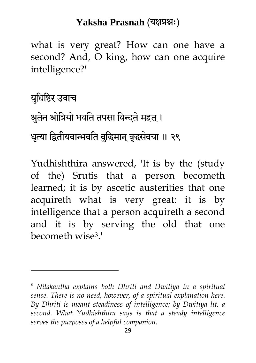what is very great? How can one have a second? And, O king, how can one acquire intelligence?'

मधुधधिय उवाच श्रुतेन श्रोत्रियो भवति तपसा विन्दते महत् । धृत्या द्वितीयवान्भवति बुद्धिमान् वृद्धसेवया ॥ २९

 $\ddot{\phantom{a}}$ 

Yudhishthira answered, 'It is by the (study of the) Srutis that a person becometh learned; it is by ascetic austerities that one acquireth what is very great: it is by intelligence that a person acquireth a second and it is by serving the old that one becometh wise3.'

<sup>3</sup> *Nilakantha explains both Dhriti and Dwitiya in a spiritual sense. There is no need, however, of a spiritual explanation here. By Dhriti is meant steadiness of intelligence; by Dwitiya lit, a second. What Yudhishthira says is that a steady intelligence serves the purposes of a helpful companion.*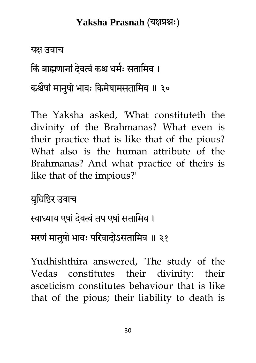#### यक्ष उवाच

किं ब्राह्मणानां देवत्वं कश्च धर्मः सतामिव ।

कश्चैषां मानुषो भावः किमेषामसतामिव ॥ ३०

The Yaksha asked, 'What constituteth the divinity of the Brahmanas? What even is their practice that is like that of the pious? What also is the human attribute of the Brahmanas? And what practice of theirs is like that of the impious?'

मधुधधिय उवाच

स्वाध्याय एषां देवत्वं तप एषां सतामिव ।

मरणं मानुषो भावः परिवादोऽसतामिव ॥ ३१

Yudhishthira answered, 'The study of the Vedas constitutes their divinity: their asceticism constitutes behaviour that is like that of the pious; their liability to death is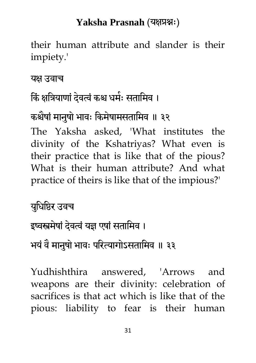their human attribute and slander is their impiety.'

यक्ष उवाच

### किं क्षत्रियाणां देवत्वं कश्च धर्मः सतामिव ।

### कश्चैषां मानुषो भावः किमेषामसतामिव ॥ ३२

The Yaksha asked, 'What institutes the divinity of the Kshatriyas? What even is their practice that is like that of the pious? What is their human attribute? And what practice of theirs is like that of the impious?'

मधुधधिय उवच इष्वस्त्रमेषां देवत्वं यज्ञ एषां सतामिव । भयं वै मानुषो भावः परित्यागोऽसतामिव ॥ ३३

Yudhishthira answered, 'Arrows and weapons are their divinity: celebration of sacrifices is that act which is like that of the pious: liability to fear is their human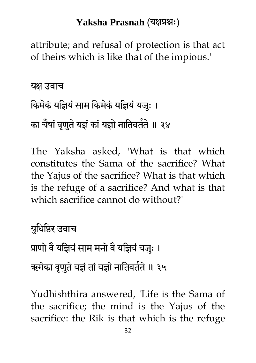attribute; and refusal of protection is that act of theirs which is like that of the impious.'

यक्ष उवाच

# किमेकें योज्ञियं साम किमेकें योज्ञेयं यजुः । का चैषां वृणुते यज्ञं कां यज्ञो नातिवतेते ॥ ३४

The Yaksha asked, 'What is that which constitutes the Sama of the sacrifice? What the Yajus of the sacrifice? What is that which is the refuge of a sacrifice? And what is that which sacrifice cannot do without?'

मधुधधिय उवाच प्राणो वै यज्ञियं साम मनो वै यज्ञियं यजुः । ऋगेका वृणुते यज्ञं तां यज्ञो नातिवतेते ॥ ३५

Yudhishthira answered, 'Life is the Sama of the sacrifice; the mind is the Yajus of the sacrifice: the Rik is that which is the refuge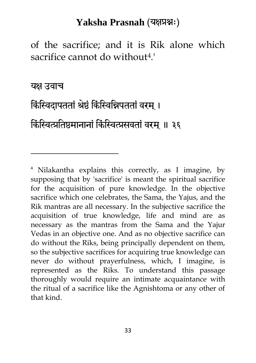of the sacrifice; and it is Rik alone which sacrifice cannot do without4.'

यक्ष उवाच

1

### किंस्विदापततां श्रेष्ठं किंस्विन्निपततां वरम् ।

#### किंस्वित्प्रतिष्ठमानानां किंस्वित्प्रसवतां वरम् ॥ ३६

<sup>4</sup> Nilakantha explains this correctly, as I imagine, by supposing that by 'sacrifice' is meant the spiritual sacrifice for the acquisition of pure knowledge. In the objective sacrifice which one celebrates, the Sama, the Yajus, and the Rik mantras are all necessary. In the subjective sacrifice the acquisition of true knowledge, life and mind are as necessary as the mantras from the Sama and the Yajur Vedas in an objective one. And as no objective sacrifice can do without the Riks, being principally dependent on them, so the subjective sacrifices for acquiring true knowledge can never do without prayerfulness, which, I imagine, is represented as the Riks. To understand this passage thoroughly would require an intimate acquaintance with the ritual of a sacrifice like the Agnishtoma or any other of that kind.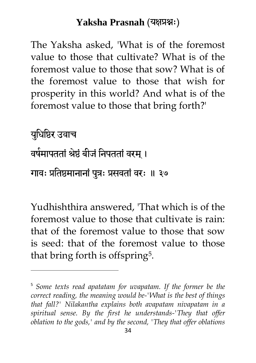The Yaksha asked, 'What is of the foremost value to those that cultivate? What is of the foremost value to those that sow? What is of the foremost value to those that wish for prosperity in this world? And what is of the foremost value to those that bring forth?'

मधुधधिय उवाच वर्षमापततां श्रेष्ठं बीजं निपततां वरम् । गावः प्रतिष्ठमानानां पुत्रः प्रसवतां वरः ॥ ३७

 $\ddot{\phantom{a}}$ 

Yudhishthira answered, 'That which is of the foremost value to those that cultivate is rain: that of the foremost value to those that sow is seed: that of the foremost value to those that bring forth is offspring5.

<sup>5</sup> *Some texts read apatatam for uvapatam. If the former be the correct reading, the meaning would be-'What is the best of things that fall?' Nilakantha explains both avapatam nivapatam in a spiritual sense. By the first he understands-'They that offer oblation to the gods,' and by the second, 'They that offer oblations*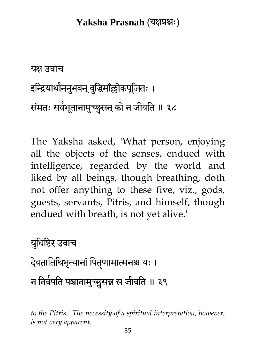यक्ष उवाच इन्द्रियाथोननुभवन् बुद्धिमाँल्लोकपूजितः । संमतः सवेभूतानामुच्छ्वसन् को न जीवति ॥ ३८

The Yaksha asked, 'What person, enjoying all the objects of the senses, endued with intelligence, regarded by the world and liked by all beings, though breathing, doth not offer anything to these five, viz., gods, guests, servants, Pitris, and himself, though endued with breath, is not yet alive.'

मधुधधिय उवाच देवतातिथिभृत्यानां पितृणामात्मनश्च यः । न निवेपति पञ्चानामुच्छ्वसन्न स जीवति ॥ ३९

 $\overline{a}$ 

*to the Pitris.' The necessity of a spiritual interpretation, however, is not very apparent.*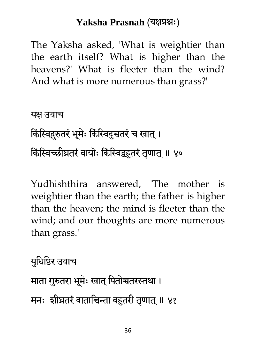The Yaksha asked, 'What is weightier than the earth itself? What is higher than the heavens?' What is fleeter than the wind? And what is more numerous than grass?'

यक्ष उवाच किंस्विद्गुरुतरं भूमेः किंस्विदुच्चतरं च खात् । किंस्विच्छीघ्रतरं वायोः किंस्विद्बहुतरं तृणात् ॥ ४०

Yudhishthira answered, 'The mother is weightier than the earth; the father is higher than the heaven; the mind is fleeter than the wind; and our thoughts are more numerous than grass.'

मधुधधिय उवाच माता गुरुतरा भूमेः खात् पितोच्चतरस्तथा । मनः शीघ्रतरं वाताचिन्ता बहुतरी तृणात् ॥ ४१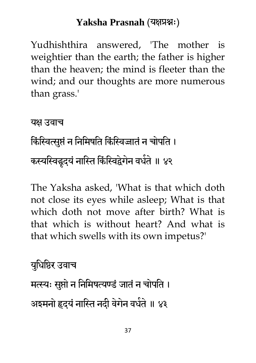Yudhishthira answered, 'The mother is weightier than the earth; the father is higher than the heaven; the mind is fleeter than the wind; and our thoughts are more numerous than grass.'

यक्ष उवाच किंस्वित्सुप्तं न निमिषति किंस्विजातं न चोपति । कस्यस्विद्धृदयं नास्ति किंस्विद्वेगेन वधेते ॥ ४२

The Yaksha asked, 'What is that which doth not close its eyes while asleep; What is that which doth not move after birth? What is that which is without heart? And what is that which swells with its own impetus?'

मधुधधिय उवाच मत्स्यः सुप्तो न निमिषत्यण्डं जातं न चोपति । अइमनो हृदयं नास्ति नदी वेगेन वधेते ॥ ४३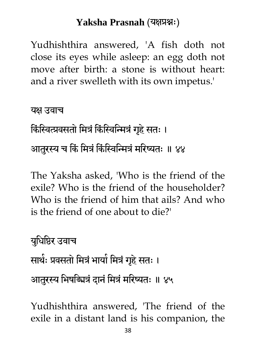Yudhishthira answered, 'A fish doth not close its eyes while asleep: an egg doth not move after birth: a stone is without heart: and a river swelleth with its own impetus.'

यक्ष उवाच

किंस्वित्प्रवसतो मित्रं किंस्विन्मित्रं गृहे सतः ।

आतरस्य च किं मित्रं किंस्विन्मित्रं मरिष्यतः ॥ ४४

The Yaksha asked, 'Who is the friend of the exile? Who is the friend of the householder? Who is the friend of him that ails? And who is the friend of one about to die?'

मधुधधिय उवाच सार्थः प्रवसतो मित्रं भायो मित्रं गृहे सतः । आतुरस्य भिषड्मित्रं दानं मित्रं मरिष्यतः ॥ ४५

Yudhishthira answered, 'The friend of the exile in a distant land is his companion, the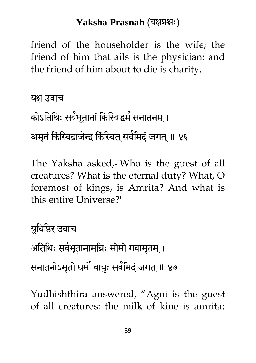friend of the householder is the wife; the friend of him that ails is the physician: and the friend of him about to die is charity.

यक्ष उवाच कोऽतिथिः सवेभूतानां किंस्विद्धमं सनातनम् । अमृतं किंस्विद्राजेन्द्र किंस्वित् सर्वमिदं जगत् ॥ ४६

The Yaksha asked,-'Who is the guest of all creatures? What is the eternal duty? What, O foremost of kings, is Amrita? And what is this entire Universe?'

मधुधधिय उवाच अतिथिः सवेभूतानामग्निः सोमो गवामृतम् । सनातनोऽमृतो धर्मौ वायुः सर्वमिदं जगत् ॥ ४७

Yudhishthira answered, "Agni is the guest of all creatures: the milk of kine is amrita: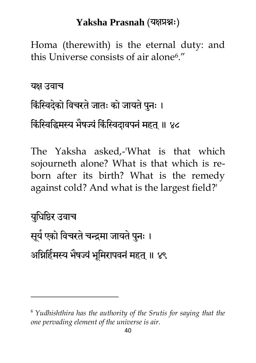Homa (therewith) is the eternal duty: and this Universe consists of air alone6."

यक्ष उवाच

 $\overline{a}$ 

# किंस्विदेको विचरते जातः को जायते पुनः । किंस्विद्धिमस्य मैषज्यं किंस्विदावपनं महत् ॥ ४८

The Yaksha asked,-'What is that which sojourneth alone? What is that which is reborn after its birth? What is the remedy against cold? And what is the largest field?'

मधुधधिय उवाच सूये एको विचरते चन्द्रमा जायते पुनः । अग्निहिंमस्य भैषज्यं भूमिरापवनं महत् ॥ ४९

<sup>6</sup> *Yudhishthira has the authority of the Srutis for saying that the one pervading element of the universe is air.*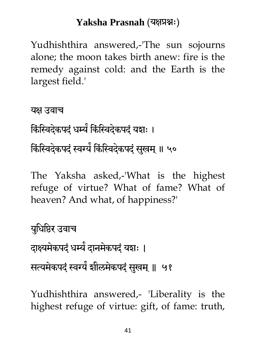Yudhishthira answered,-'The sun sojourns alone; the moon takes birth anew: fire is the remedy against cold: and the Earth is the largest field.'

यक्ष उवाच किस्विदेकपदं धर्म्य किस्विदेकपदं यशः । किंस्विदेकपदं स्वर्यं किंस्विदेकपदं सुखम् ॥ ५०

The Yaksha asked,-'What is the highest refuge of virtue? What of fame? What of heaven? And what, of happiness?'

मधुधधिय उवाच दाक्ष्यमेकपदं धम्ये दानमेकपदं यशः । सत्यमेकपदं स्वर्ग्यं शीलमेकपदं सुखम् ॥ ५१

Yudhishthira answered,- 'Liberality is the highest refuge of virtue: gift, of fame: truth,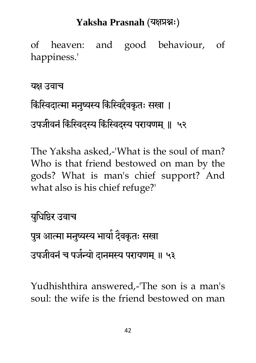of heaven: and good behaviour, of happiness.'

#### यक्ष उवाच

# किंस्विदात्मा मनुष्यस्य किंस्विद्दैवकृतः सखा । उपजीवनं किंस्विदस्य किंस्विदस्य परायणम् ॥ ५२

The Yaksha asked,-'What is the soul of man? Who is that friend bestowed on man by the gods? What is man's chief support? And what also is his chief refuge?'

मधुधधिय उवाच

पुत्र आत्मा मनुष्यस्य भायो दैवकृतः सखा

उपजीवनं च पर्जन्यो दानमस्य परायणम् ॥ ५३

Yudhishthira answered,-'The son is a man's soul: the wife is the friend bestowed on man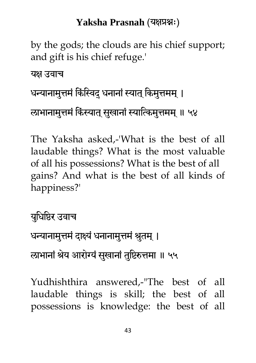by the gods; the clouds are his chief support; and gift is his chief refuge.'

यक्ष उवाच

### धन्यानामुत्तमं किंस्विदु धनानां स्यात् किमुत्तमम् ।

राभानामुत्तमं किंस्यात् सुखानां स्यात्किमुत्तमम् ॥ ५४

The Yaksha asked,-'What is the best of all laudable things? What is the most valuable of all his possessions? What is the best of all gains? And what is the best of all kinds of happiness?'

मधुधधिय उवाच

धन्यानामुत्तमं दाक्ष्यं धनानामुत्तमं श्रुतम् ।

राभानां श्रेय आरोग्यं सुखानां तुष्टिरुत्तमा ॥ ५५

Yudhishthira answered,-"The best of all laudable things is skill; the best of all possessions is knowledge: the best of all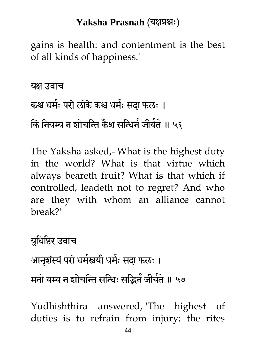gains is health: and contentment is the best of all kinds of happiness.'

यक्ष उवाच कश्च धर्मः परो लोके कश्च धर्मः सदा फलः । कि नियम्य न शोचन्ति कैश्च सन्धिने जीयेते ॥ ५६

The Yaksha asked,-'What is the highest duty in the world? What is that virtue which always beareth fruit? What is that which if controlled, leadeth not to regret? And who are they with whom an alliance cannot break?'

मधुधधिय उवाच आनृशंस्यं परो धर्मस्त्रयी धर्मः सदा फलः । मनो यम्य न शोचन्ति सन्धिः सद्भिनं जीयेतं ॥ ५७

Yudhishthira answered,-'The highest of duties is to refrain from injury: the rites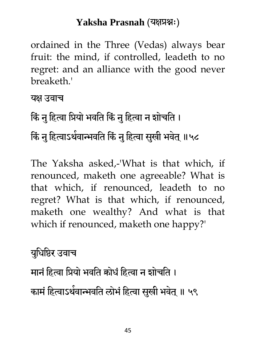ordained in the Three (Vedas) always bear fruit: the mind, if controlled, leadeth to no regret: and an alliance with the good never breaketh.'

यक्ष उवाच

किं नु हित्वा प्रियो भवति किं नु हित्वा न शोचति ।

किं नु हित्वाऽथेवान्भवति किं नु हित्वा सुखी भवेत् ॥५८

The Yaksha asked,-'What is that which, if renounced, maketh one agreeable? What is that which, if renounced, leadeth to no regret? What is that which, if renounced, maketh one wealthy? And what is that which if renounced, maketh one happy?'

मधुधधिय उवाच

मानं हित्वा प्रियो भवति कोधं हित्वा न शोचति । कामं हित्वाऽर्थवान्भवति लोभं हित्वा सुखी भवेत् ॥ ५९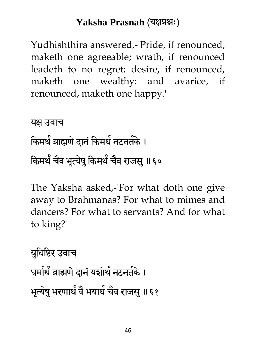Yudhishthira answered,-'Pride, if renounced, maketh one agreeable; wrath, if renounced leadeth to no regret: desire, if renounced, maketh one wealthy: and avarice, if renounced, maketh one happy.'

```
यक्ष उवाच
किमर्थ ब्राह्मणे दानं किमर्थ नटनतके ।
किमर्थं चैव भृत्येषु किमर्थं चैव राजसु ॥६०
```
The Yaksha asked,-'For what doth one give away to Brahmanas? For what to mimes and dancers? For what to servants? And for what to king?'

मधुधधिय उवाच धर्मार्थ ब्राह्मणे दानं यशोर्थ नटनतेके । भृत्येषु भरणार्थं वै भयार्थं चैव राजसु ॥६१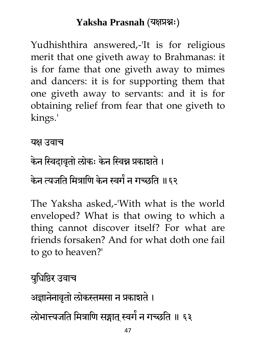Yudhishthira answered,-'It is for religious merit that one giveth away to Brahmanas: it is for fame that one giveth away to mimes and dancers: it is for supporting them that one giveth away to servants: and it is for obtaining relief from fear that one giveth to kings.'

#### यक्ष उवाच

# केन स्विदावृतो लोकः केन स्विन्न प्रकाशते । केन त्यजति मित्राणि केन स्वगे न गच्छति ॥६२

The Yaksha asked,-'With what is the world enveloped? What is that owing to which a thing cannot discover itself? For what are friends forsaken? And for what doth one fail to go to heaven?'

### मधुधधिय उवाच

अज्ञानेनावृतो लोकस्तमसा न प्रकाशते ।

लोभात्त्यजति मित्राणि सङ्गात् स्वर्गं न गच्छति ॥ ६३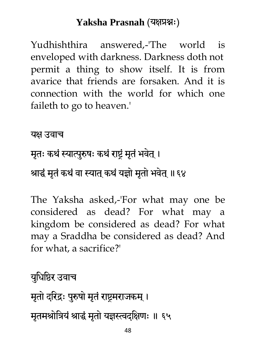Yudhishthira answered,-'The world is enveloped with darkness. Darkness doth not permit a thing to show itself. It is from avarice that friends are forsaken. And it is connection with the world for which one faileth to go to heaven.'

यक्ष उवाच

# मृतः कथं स्यात्पुरुषः कथं राष्ट्रं मृतं भवेत् ।

### श्राद्धं मृतं कथं वा स्यात् कथं यज्ञो मृतो भवेत् ॥६४

The Yaksha asked,-'For what may one be considered as dead? For what may a kingdom be considered as dead? For what may a Sraddha be considered as dead? And for what, a sacrifice?'

मधुधधिय उवाच

मृतो दरिद्रः पुरुषो मृतं राष्ट्रमराजकम् । मृतमश्रोत्रियं श्राद्धं मृतो यज्ञस्त्वदक्षिणः ॥ ६५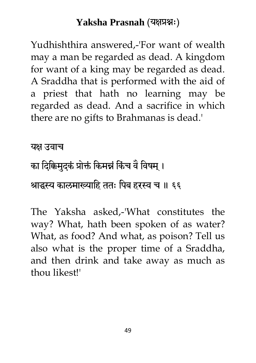Yudhishthira answered,-'For want of wealth may a man be regarded as dead. A kingdom for want of a king may be regarded as dead. A Sraddha that is performed with the aid of a priest that hath no learning may be regarded as dead. And a sacrifice in which there are no gifts to Brahmanas is dead.'

यक्ष उवाच

# का दिक्किमुद्कं प्रोक्तं किमन्नं किंच वे विषम् । श्राद्धस्य कालमाख्याहि ततः पिब हरस्व च ॥ ६६

The Yaksha asked,-'What constitutes the way? What, hath been spoken of as water? What, as food? And what, as poison? Tell us also what is the proper time of a Sraddha, and then drink and take away as much as thou likest!'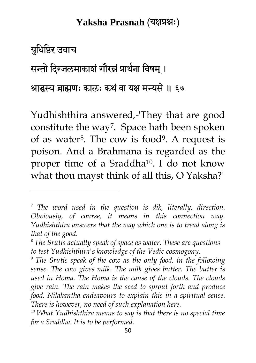मधुधधिय उवाच

 $\ddot{\phantom{a}}$ 

सन्तो दिग्जलमाकाशं गौरन्नं प्राथेना विषम् ।

श्राद्धस्य ब्राह्मणः कालः कथं वा यक्ष मन्यसे ॥ ६७

Yudhishthira answered,-'They that are good constitute the way<sup>7</sup>. Space hath been spoken of as water8. The cow is food9. A request is poison. And a Brahmana is regarded as the proper time of a Sraddha<sup>10</sup> . I do not know what thou mayst think of all this, O Yaksha?'

<sup>7</sup> *The word used in the question is dik, literally, direction. Obviously, of course, it means in this connection way. Yudhishthira answers that the way which one is to tread along is that of the good.*

<sup>8</sup> *The Srutis actually speak of space as water. These are questions to test Yudhishthira's knowledge of the Vedic cosmogony.*

<sup>9</sup> *The Srutis speak of the cow as the only food, in the following sense. The cow gives milk. The milk gives butter. The butter is used in Homa. The Homa is the cause of the clouds. The clouds give rain. The rain makes the seed to sprout forth and produce food. Nilakantha endeavours to explain this in a spiritual sense. There is however, no need of such explanation here.*

<sup>10</sup> *What Yudhishthira means to say is that there is no special time for a Sraddha. It is to be performed.*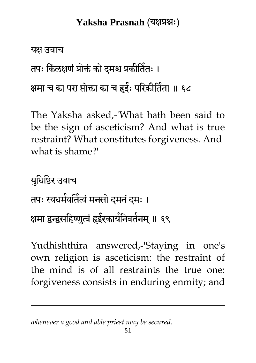#### यक्ष उवाच

 $\ddot{\phantom{a}}$ 

तपः किलक्षणं प्रोक्तं को दमश्च प्रकीर्तितः ।

क्षमा च का परा प्तोक्ता का च हृईः परिकीर्तिता ॥ ६८

The Yaksha asked,-'What hath been said to be the sign of asceticism? And what is true restraint? What constitutes forgiveness. And what is shame?'

मधुधधिय उवाच तपः स्वधमेर्वातैत्वं मनसो दमनं दमः । क्षमा द्वन्द्वसहिष्णुत्वं हृईरकार्यनिवर्तनम् ॥ ६९

Yudhishthira answered,-'Staying in one's own religion is asceticism: the restraint of the mind is of all restraints the true one: forgiveness consists in enduring enmity; and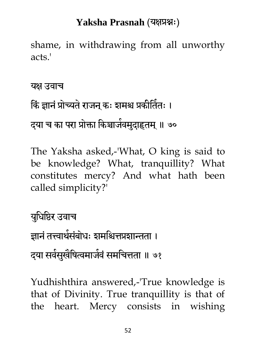shame, in withdrawing from all unworthy acts.'

यक्ष उवाच

किं ज्ञानं प्रोच्यते राजन् कः शमश्च प्रकीतितः । दया च का परा प्रोक्ता किञ्चाजेवमुदाहृतम् ॥ ७०

The Yaksha asked,-'What, O king is said to be knowledge? What, tranquillity? What constitutes mercy? And what hath been called simplicity?'

मधुधधिय उवाच ज्ञानं तत्त्वार्थसंबोधः शर्माश्चेत्तप्रशान्तता । दया सर्वसुखेंषित्वमाजेवं समचित्तता ॥ ७१

Yudhishthira answered,-'True knowledge is that of Divinity. True tranquillity is that of the heart. Mercy consists in wishing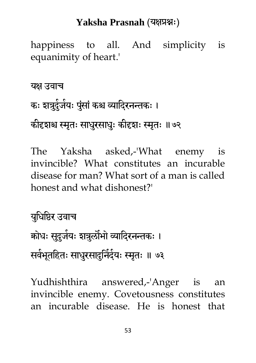happiness to all. And simplicity is equanimity of heart.'

यक्ष उवाच कः शत्रुदुंजेयः पुंसां कश्च व्यादि्रनन्तकः । कीदृशश्च स्मृतः साधुरसाधुः कीदृशः स्मृतः ॥७२

The Yaksha asked,-'What enemy is invincible? What constitutes an incurable disease for man? What sort of a man is called honest and what dishonest?'

मधुधधिय उवाच क्रोधः सुदुजेयः शत्रुलौभो व्यादिरनन्तकः । सवेभूतहितः साधुरसादुनिंदेयः स्मृतः ॥ ७३

Yudhishthira answered,-'Anger is an invincible enemy. Covetousness constitutes an incurable disease. He is honest that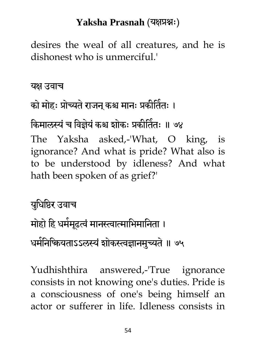desires the weal of all creatures, and he is dishonest who is unmerciful.'

यक्ष उवाच

### को मोहः प्रोच्यते राजन् कश्च मानः प्रकीतिंतः ।

किमालस्यं च विज्ञेयं कश्च शोकः प्रकीर्तितः ॥ ७४ The Yaksha asked,-'What, O king, is ignorance? And what is pride? What also is to be understood by idleness? And what hath been spoken of as grief?'

मधुधधिय उवाच मोहो हि धर्ममूढत्वं मानस्त्वात्माभिमानिता । धर्मनिश्कियताऽऽलस्यं शोकस्त्वज्ञानमुच्यते ॥ ७५

Yudhishthira answered,-'True ignorance consists in not knowing one's duties. Pride is a consciousness of one's being himself an actor or sufferer in life. Idleness consists in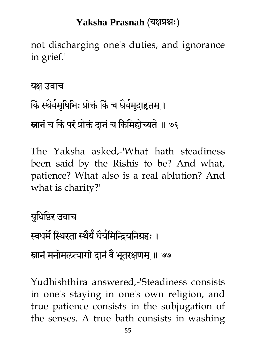not discharging one's duties, and ignorance in grief.'

यक्ष उवाच किं स्थैयेमृषिभिः प्रोक्तं किं च धैयेमुदाहृतम् । स्नानं च किं परं प्रोक्तं दानं च किमिहोच्यते ॥ ७६

The Yaksha asked,-'What hath steadiness been said by the Rishis to be? And what, patience? What also is a real ablution? And what is charity?'

मधुधधिय उवाच स्वधर्मं स्थिरता स्थैये धैर्यमिन्द्रियनिग्रहः । स्नानं मनोमलत्यागो दानं वै भूतरक्षणम् ॥ ७७

Yudhishthira answered,-'Steadiness consists in one's staying in one's own religion, and true patience consists in the subjugation of the senses. A true bath consists in washing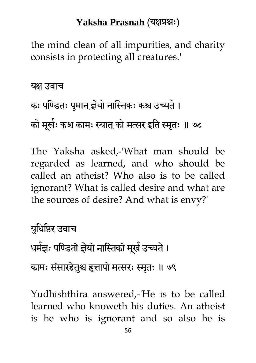the mind clean of all impurities, and charity consists in protecting all creatures.'

यक्ष उवाच

कः पण्डितः पुमान् ज्ञेयो नास्तिकः कश्च उच्यते । को मूखेः कश्च कामः स्यात् को मत्सर इति स्मृतः ॥ ७८

The Yaksha asked,-'What man should be regarded as learned, and who should be called an atheist? Who also is to be called ignorant? What is called desire and what are the sources of desire? And what is envy?'

मधुधधिय उवाच धर्मज्ञः पण्डितो ज्ञेयो नास्तिको मूखं उच्यते । कामः संसारहेतुश्च हृत्तापो मत्सरः स्मृतः ॥ ७९

Yudhishthira answered,-'He is to be called learned who knoweth his duties. An atheist is he who is ignorant and so also he is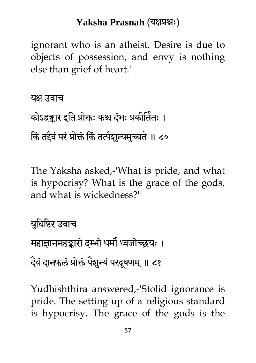ignorant who is an atheist. Desire is due to objects of possession, and envy is nothing else than grief of heart.'

यक्ष उवाच कोऽहङ्कार इति प्रोक्तः कश्च दंभः प्रकीर्तितः । किं तद्दैवं परं प्रोक्तं किं तत्पेशुन्यमुच्यते ॥ ८०

The Yaksha asked,-'What is pride, and what is hypocrisy? What is the grace of the gods, and what is wickedness?'

मधुधधिय उवाच महाज्ञानमहङ्कारो दम्भो धर्मो ध्वजोच्छयः । दैवं दानफलं प्रोक्तं पैशुन्यं परदूषणम् ॥ ८१

Yudhishthira answered,-'Stolid ignorance is pride. The setting up of a religious standard is hypocrisy. The grace of the gods is the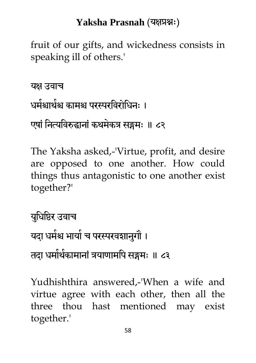fruit of our gifts, and wickedness consists in speaking ill of others.'

यक्ष उवाच धर्मश्चार्थश्च कामश्च परस्परविरोधिनः । एषां नित्यविरुद्धानां कथमेकत्र सङ्गमः ॥ ८२

The Yaksha asked,-'Virtue, profit, and desire are opposed to one another. How could things thus antagonistic to one another exist together?'

मधुधधिय उवाच यदा धर्मश्च भायो च परस्परवशानुगौ । तदा धमोर्थकामानां त्रयाणामपि सङ्गमः ॥ ८३

Yudhishthira answered,-'When a wife and virtue agree with each other, then all the three thou hast mentioned may exist together.'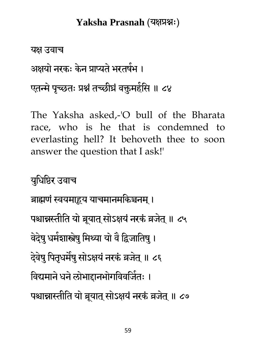यक्ष उवाच अक्षयो नरकः केन प्राप्यतं भरतषंभ । एतन्मे पृच्छतः प्रश्नं तच्छीघ्रं वक्तुमहेसि ॥ ८४

The Yaksha asked,-'O bull of the Bharata race, who is he that is condemned to everlasting hell? It behoveth thee to soon answer the question that I ask!'

मधुधधिय उवाच ब्राह्मणं स्वयमाहूय याचमानमकिञ्चनम् । पश्चान्नस्तीति यो ब्रूयात् सोऽक्षयं नरकं व्रजेत् ॥ ८५ वेदेषु धर्मशास्त्रेषु मिथ्या यो वै द्विजातिषु । देवेषु पितृधमैषु सोऽक्षयं नरकं व्रजेत् ॥ ८६ विद्यमाने धने लोभाद्दानभोगविवजितः । पश्चान्नास्तीति यो ब्रूयात् सोऽक्षयं नरकं व्रजेत् ॥ ८७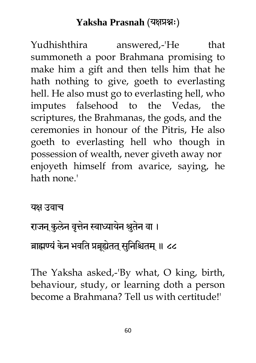Yudhishthira answered.-'He that summoneth a poor Brahmana promising to make him a gift and then tells him that he hath nothing to give, goeth to everlasting hell. He also must go to everlasting hell, who imputes falsehood to the Vedas, the scriptures, the Brahmanas, the gods, and the ceremonies in honour of the Pitris, He also goeth to everlasting hell who though in possession of wealth, never giveth away nor enjoyeth himself from avarice, saying, he hath none.'

#### यक्ष उवाच

# राजन कुलेन वृत्तेन स्वाध्यायेन श्रुतेन वा । ब्राह्मण्यं केन भवति प्रब्रूह्येतत् सुनिश्चितम् ॥ ८८

The Yaksha asked,-'By what, O king, birth, behaviour, study, or learning doth a person become a Brahmana? Tell us with certitude!'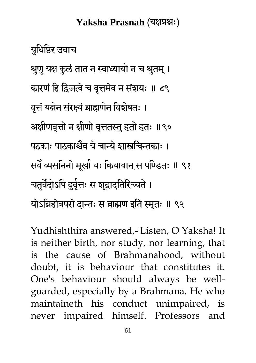मधुधधिय उवाच श्रुणु यक्ष कुलं तात न स्वाध्यायो न च श्रुतम् । कारणं हि द्विजत्वे च वृत्तमेव न संशयः ॥ ८९ वत्तं यत्नेन संरक्ष्यं ब्राह्मणेन विशेषतः । अक्षीणवृत्तो न क्षीणो वृत्ततस्तु हतो हतः ॥९० पठकाः पाठकाश्चैव ये चान्ये शास्त्रचिन्तकाः । सवै व्यसनिनो मूखो यः कियावान् स पण्डितः ॥ ९१ चतुर्वदोऽपि दुवृत्तः स शूद्रादतिरिच्यते । योऽभिहोत्रपरो दान्तः स ब्राह्मण इति स्मृतः ॥ ९२

Yudhishthira answered,-'Listen, O Yaksha! It is neither birth, nor study, nor learning, that is the cause of Brahmanahood, without doubt, it is behaviour that constitutes it. One's behaviour should always be wellguarded, especially by a Brahmana. He who maintaineth his conduct unimpaired, is never impaired himself. Professors and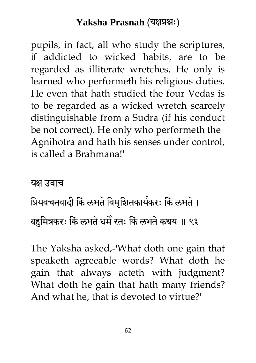pupils, in fact, all who study the scriptures, if addicted to wicked habits, are to be regarded as illiterate wretches. He only is learned who performeth his religious duties. He even that hath studied the four Vedas is to be regarded as a wicked wretch scarcely distinguishable from a Sudra (if his conduct be not correct). He only who performeth the Agnihotra and hath his senses under control, is called a Brahmana!'

यक्ष उवाच

# प्रियवचनवादी किं लभते विमृद्मितकार्यकरः किं लभते । बहुमित्रकरः किं लभते धमै रतः किं लभते कथय ॥ ९३

The Yaksha asked,-'What doth one gain that speaketh agreeable words? What doth he gain that always acteth with judgment? What doth he gain that hath many friends? And what he, that is devoted to virtue?'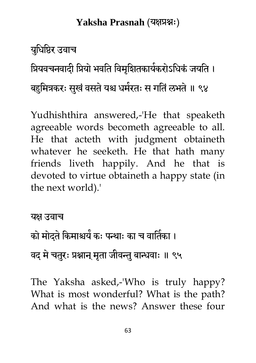मधुधधिय उवाच

प्रियवचनवादी प्रियो भवति विमृद्यितकार्यकरोऽधिकं जयति ।

बहुमित्रकरः सुखं वसते यश्च धमेरतः स गतिं लभते ॥ ९४

Yudhishthira answered,-'He that speaketh agreeable words becometh agreeable to all. He that acteth with judgment obtaineth whatever he seeketh. He that hath many friends liveth happily. And he that is devoted to virtue obtaineth a happy state (in the next world).'

यक्ष उवाच को मोदते किमाश्चये कः पन्थाः का च वार्तिका । वद् मे चतुरः प्रश्नान् मृता जीवन्तु बान्धवाः ॥ ९५

The Yaksha asked,-'Who is truly happy? What is most wonderful? What is the path? And what is the news? Answer these four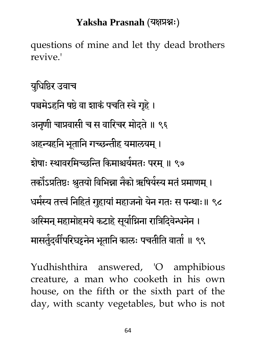questions of mine and let thy dead brothers revive.'

मधुधधिय उवाच पञ्चमेऽहनि षष्ठे वा शाकं पचति स्वे गृहे । अनणी चाप्रवासी च स वारिचर मोदते ॥ ९६ अहन्यहनि भूतानि गच्छन्तीह यमालयम् । शेषाः स्थावरमिच्छन्ति किमाश्चयेमतः परम् ॥ ९७ तकौऽप्रतिष्ठः श्रुतयो विभिन्ना नैको ऋषियेस्य मतं प्रमाणम् । धर्मस्य तत्त्वं निहितं गुहायां महाजनो येन गतः स पन्थाः॥ ९८ अस्मिन् महामोहमये कटाहे सूर्याग्निना रात्रिदिवेन्धनेन । मासतुेदवीपरिघट्टनेन भूतानि कालः पचतीति वातो ॥ ९९

Yudhishthira answered, 'O amphibious creature, a man who cooketh in his own house, on the fifth or the sixth part of the day, with scanty vegetables, but who is not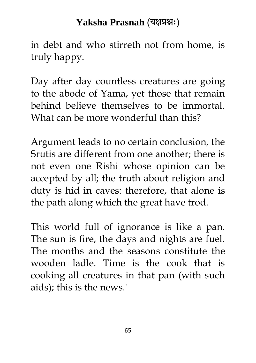in debt and who stirreth not from home, is truly happy.

Day after day countless creatures are going to the abode of Yama, yet those that remain behind believe themselves to be immortal. What can be more wonderful than this?

Argument leads to no certain conclusion, the Srutis are different from one another; there is not even one Rishi whose opinion can be accepted by all; the truth about religion and duty is hid in caves: therefore, that alone is the path along which the great have trod.

This world full of ignorance is like a pan. The sun is fire, the days and nights are fuel. The months and the seasons constitute the wooden ladle. Time is the cook that is cooking all creatures in that pan (with such aids); this is the news.'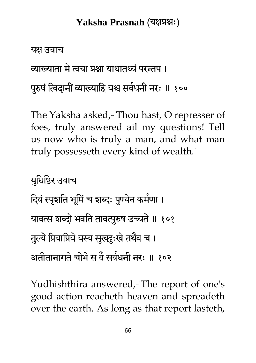यक्ष उवाच

व्याख्याता मे त्वया प्रश्ना याथातथ्यं परन्तप ।

पुरुषं त्विदानीं व्याख्याहि यश्च सवधनी नरः ॥ १००

The Yaksha asked,-'Thou hast, O represser of foes, truly answered ail my questions! Tell us now who is truly a man, and what man truly possesseth every kind of wealth.'

मधुधधिय उवाच दिवं स्पृशति भूमिं च शब्दः पुण्येन कर्मणा । यावत्स शब्दो भवति तावत्पुरुष उच्यते ॥ १०१ तुल्ये प्रियाप्रिये यस्य सुखदुःखे तथैव च । अतीतानागते चोभे स वै सर्वधनी नरः ॥ १०२

Yudhishthira answered,-'The report of one's good action reacheth heaven and spreadeth over the earth. As long as that report lasteth,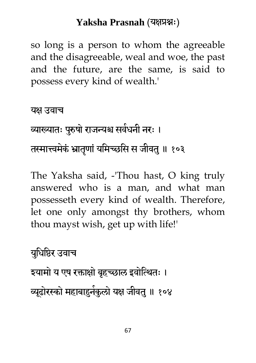so long is a person to whom the agreeable and the disagreeable, weal and woe, the past and the future, are the same, is said to possess every kind of wealth.'

यक्ष उवाच

व्याख्यातः पुरुषो राजन्यश्च सर्वधनी नरः । तस्मात्त्वमेकं भ्रातृणां यमिच्छसि स जीवतु ॥ १०३

The Yaksha said, -'Thou hast, O king truly answered who is a man, and what man possesseth every kind of wealth. Therefore, let one only amongst thy brothers, whom thou mayst wish, get up with life!'

मधुधधिय उवाच

इयामो य एष रक्ताक्षो बृहच्छाल इवोत्थितः । व्यूढोरस्को महाबाहुनेकुलो यक्ष जीवतु ॥ १०४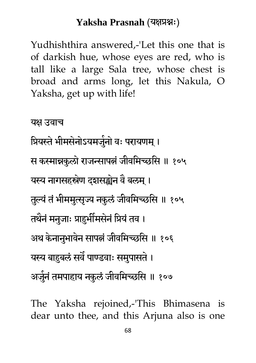Yudhishthira answered,-'Let this one that is of darkish hue, whose eyes are red, who is tall like a large Sala tree, whose chest is broad and arms long, let this Nakula, O Yaksha, get up with life!

यक्ष उवाच प्रियस्ते भीमसेनोऽयमजुनो वः परायणम् । स कस्मान्नकुलो राजन्सापत्नं जीवमिच्छसि ॥ १०५ यस्य नागसहस्रेण दशसङ्ख्येन वै बलम् । तुल्यं तं भीममुत्सृज्य नकुलं जीवमिच्छसि ॥ १०५ तथैनं मनुजाः प्राहुभीमसेनं प्रियं तव । अथ केनानुभावेन सापत्नं जीवमिच्छसि ॥ १०६ यस्य बाहुबलं सर्वं पाण्डवाः समुपासते । अजुनं तमपाहाय नकुलं जीवमिच्छसि ॥ १०७

The Yaksha rejoined,-'This Bhimasena is dear unto thee, and this Arjuna also is one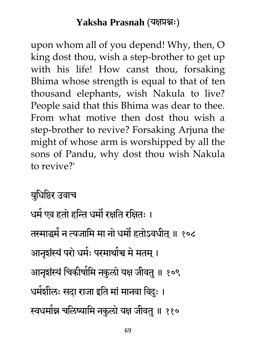upon whom all of you depend! Why, then, O king dost thou, wish a step-brother to get up with his life! How canst thou, forsaking Bhima whose strength is equal to that of ten thousand elephants, wish Nakula to live? People said that this Bhima was dear to thee. From what motive then dost thou wish a step-brother to revive? Forsaking Arjuna the might of whose arm is worshipped by all the sons of Pandu, why dost thou wish Nakula to revive?'

मधुधधिय उवाच

धर्म एव हतो हन्ति धर्मों रक्षति रक्षितः । तस्माद्धमें न त्यजामि मा नो धमौं हतोऽवधीत् ॥ १०८ आनृशंस्यं परो धमेः परमाथोच्च मे मतम् । आनृशंस्यं चिकीर्षामि नकुलो यक्ष जीवतु ॥ १०९ धर्मशीलः सदा राजा इति मां मानवा विदुः । स्वधमोन्न चलिष्यामि नकुलो यक्ष जीवतु ॥ ११०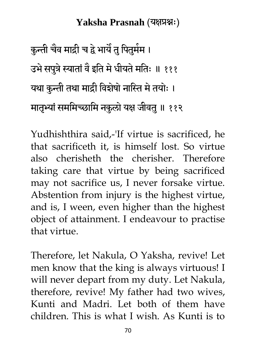कुन्ती चैव माद्री च द्वे भायै तु पितुमेम । उभे सपुत्रे स्यातों वै इति में धीयते मतिः ॥ १११ यथा कुन्ती तथा माद्री विशेषो नास्ति मे तयोः । मातभ्यां सममिच्छामि नकुलो यक्ष जीवतु ॥ ११२

Yudhishthira said,-'If virtue is sacrificed, he that sacrificeth it, is himself lost. So virtue also cherisheth the cherisher. Therefore taking care that virtue by being sacrificed may not sacrifice us, I never forsake virtue. Abstention from injury is the highest virtue, and is, I ween, even higher than the highest object of attainment. I endeavour to practise that virtue.

Therefore, let Nakula, O Yaksha, revive! Let men know that the king is always virtuous! I will never depart from my duty. Let Nakula, therefore, revive! My father had two wives, Kunti and Madri. Let both of them have children. This is what I wish. As Kunti is to